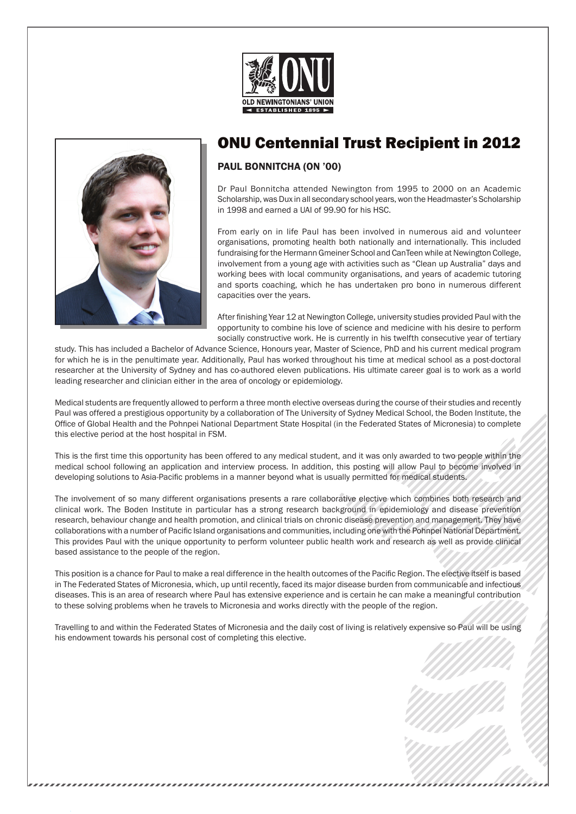



## ONU Centennial Trust Recipient in 2012

## Paul Bonnitcha (ON '00)

Dr Paul Bonnitcha attended Newington from 1995 to 2000 on an Academic Scholarship, was Dux in all secondary school years, won the Headmaster's Scholarship in 1998 and earned a UAI of 99.90 for his HSC.

From early on in life Paul has been involved in numerous aid and volunteer organisations, promoting health both nationally and internationally. This included fundraising for the Hermann Gmeiner School and CanTeen while at Newington College, involvement from a young age with activities such as "Clean up Australia" days and working bees with local community organisations, and years of academic tutoring and sports coaching, which he has undertaken pro bono in numerous different capacities over the years.

After finishing Year 12 at Newington College, university studies provided Paul with the opportunity to combine his love of science and medicine with his desire to perform socially constructive work. He is currently in his twelfth consecutive year of tertiary

study. This has included a Bachelor of Advance Science, Honours year, Master of Science, PhD and his current medical program for which he is in the penultimate year. Additionally, Paul has worked throughout his time at medical school as a post-doctoral researcher at the University of Sydney and has co-authored eleven publications. His ultimate career goal is to work as a world leading researcher and clinician either in the area of oncology or epidemiology.

Medical students are frequently allowed to perform a three month elective overseas during the course of their studies and recently Paul was offered a prestigious opportunity by a collaboration of The University of Sydney Medical School, the Boden Institute, the Office of Global Health and the Pohnpei National Department State Hospital (in the Federated States of Micronesia) to complete this elective period at the host hospital in FSM.

This is the first time this opportunity has been offered to any medical student, and it was only awarded to two people within the medical school following an application and interview process. In addition, this posting will allow Paul to become involved in developing solutions to Asia-Pacific problems in a manner beyond what is usually permitted for medical students.

The involvement of so many different organisations presents a rare collaborative elective which combines both research and clinical work. The Boden Institute in particular has a strong research background in epidemiology and disease prevention research, behaviour change and health promotion, and clinical trials on chronic disease prevention and management. They have collaborations with a number of Pacific Island organisations and communities, including one with the Pohnpei National Department. This provides Paul with the unique opportunity to perform volunteer public health work and research as well as provide clinical based assistance to the people of the region.

This position is a chance for Paul to make a real difference in the health outcomes of the Pacific Region. The elective itself is based in The Federated States of Micronesia, which, up until recently, faced its major disease burden from communicable and infectious diseases. This is an area of research where Paul has extensive experience and is certain he can make a meaningful contribution to these solving problems when he travels to Micronesia and works directly with the people of the region.

Travelling to and within the Federated States of Micronesia and the daily cost of living is relatively expensive so Paul will be using his endowment towards his personal cost of completing this elective.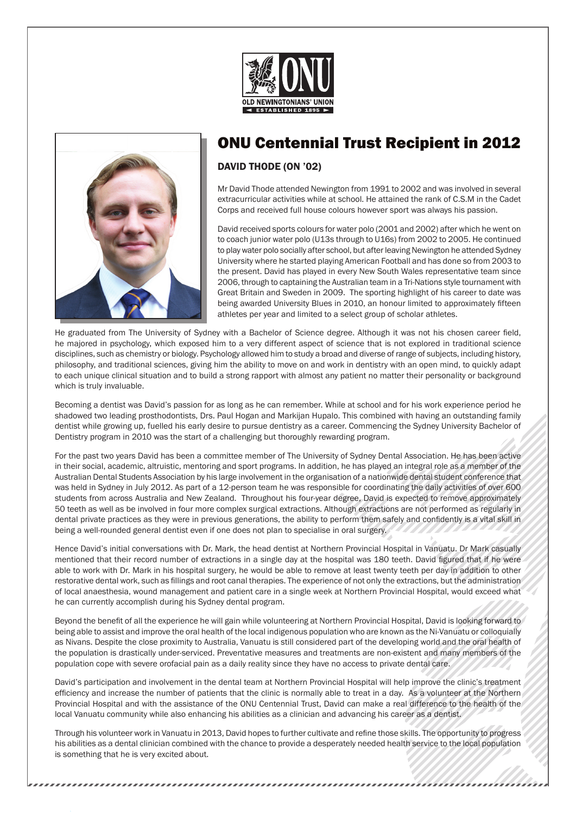



,,,,,,,,,,,,,,,,,,,,,,,,,,,,,,,

## ONU Centennial Trust Recipient in 2012

DAVID THODE (ON '02)

Mr David Thode attended Newington from 1991 to 2002 and was involved in several extracurricular activities while at school. He attained the rank of C.S.M in the Cadet Corps and received full house colours however sport was always his passion.

David received sports colours for water polo (2001 and 2002) after which he went on to coach junior water polo (U13s through to U16s) from 2002 to 2005. He continued to play water polo socially after school, but after leaving Newington he attended Sydney University where he started playing American Football and has done so from 2003 to the present. David has played in every New South Wales representative team since 2006, through to captaining the Australian team in a Tri-Nations style tournament with Great Britain and Sweden in 2009. The sporting highlight of his career to date was being awarded University Blues in 2010, an honour limited to approximately fifteen athletes per year and limited to a select group of scholar athletes.

He graduated from The University of Sydney with a Bachelor of Science degree. Although it was not his chosen career field, he majored in psychology, which exposed him to a very different aspect of science that is not explored in traditional science disciplines, such as chemistry or biology. Psychology allowed him to study a broad and diverse of range of subjects, including history, philosophy, and traditional sciences, giving him the ability to move on and work in dentistry with an open mind, to quickly adapt to each unique clinical situation and to build a strong rapport with almost any patient no matter their personality or background which is truly invaluable.

Becoming a dentist was David's passion for as long as he can remember. While at school and for his work experience period he shadowed two leading prosthodontists, Drs. Paul Hogan and Markijan Hupalo. This combined with having an outstanding family dentist while growing up, fuelled his early desire to pursue dentistry as a career. Commencing the Sydney University Bachelor of Dentistry program in 2010 was the start of a challenging but thoroughly rewarding program.

For the past two years David has been a committee member of The University of Sydney Dental Association. He has been active in their social, academic, altruistic, mentoring and sport programs. In addition, he has played an integral role as a member of the Australian Dental Students Association by his large involvement in the organisation of a nationwide dental student conference that was held in Sydney in July 2012. As part of a 12-person team he was responsible for coordinating the daily activities of over 600 students from across Australia and New Zealand. Throughout his four-year degree, David is expected to remove approximately 50 teeth as well as be involved in four more complex surgical extractions. Although extractions are not performed as regularly in dental private practices as they were in previous generations, the ability to perform them safely and confidently is a vital skill in being a well-rounded general dentist even if one does not plan to specialise in oral surgery.

Hence David's initial conversations with Dr. Mark, the head dentist at Northern Provincial Hospital in Vanuatu. Dr Mark casually mentioned that their record number of extractions in a single day at the hospital was 180 teeth. David figured that if he were able to work with Dr. Mark in his hospital surgery, he would be able to remove at least twenty teeth per day in addition to other restorative dental work, such as fillings and root canal therapies. The experience of not only the extractions, but the administration of local anaesthesia, wound management and patient care in a single week at Northern Provincial Hospital, would exceed what he can currently accomplish during his Sydney dental program.

Beyond the benefit of all the experience he will gain while volunteering at Northern Provincial Hospital, David is looking forward to being able to assist and improve the oral health of the local indigenous population who are known as the Ni-Vanuatu or colloquially as Nivans. Despite the close proximity to Australia, Vanuatu is still considered part of the developing world and the oral health of the population is drastically under-serviced. Preventative measures and treatments are non-existent and many members of the population cope with severe orofacial pain as a daily reality since they have no access to private dental care.

David's participation and involvement in the dental team at Northern Provincial Hospital will help improve the clinic's treatment efficiency and increase the number of patients that the clinic is normally able to treat in a day. As a volunteer at the Northern Provincial Hospital and with the assistance of the ONU Centennial Trust, David can make a real difference to the health of the local Vanuatu community while also enhancing his abilities as a clinician and advancing his career as a dentist.

Through his volunteer work in Vanuatu in 2013, David hopes to further cultivate and refine those skills. The opportunity to progress his abilities as a dental clinician combined with the chance to provide a desperately needed health service to the local population is something that he is very excited about.